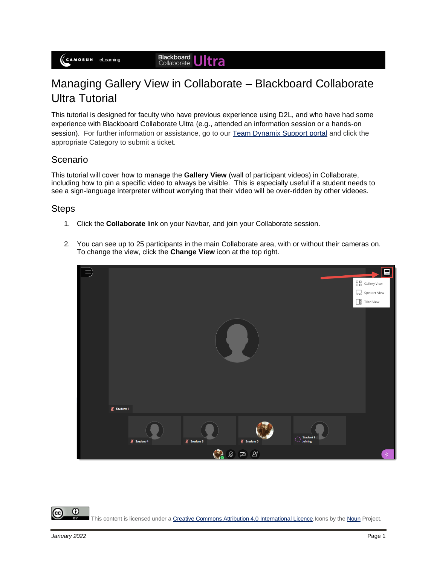## Managing Gallery View in Collaborate – Blackboard Collaborate Ultra Tutorial

This tutorial is designed for faculty who have previous experience using D2L, and who have had some experience with Blackboard Collaborate Ultra (e.g., attended an information session or a hands-on session). For further information or assistance, go to our [Team Dynamix Support portal](https://camosun.teamdynamix.com/TDClient/67/Portal/Requests/ServiceCatalog?CategoryID=523) and click the appropriate Category to submit a ticket.

## Scenario

This tutorial will cover how to manage the **Gallery View** (wall of participant videos) in Collaborate, including how to pin a specific video to always be visible. This is especially useful if a student needs to see a sign-language interpreter without worrying that their video will be over-ridden by other videoes.

## Steps

- 1. Click the **Collaborate** link on your Navbar, and join your Collaborate session.
- 2. You can see up to 25 participants in the main Collaborate area, with or without their cameras on. To change the view, click the **Change View** icon at the top right.



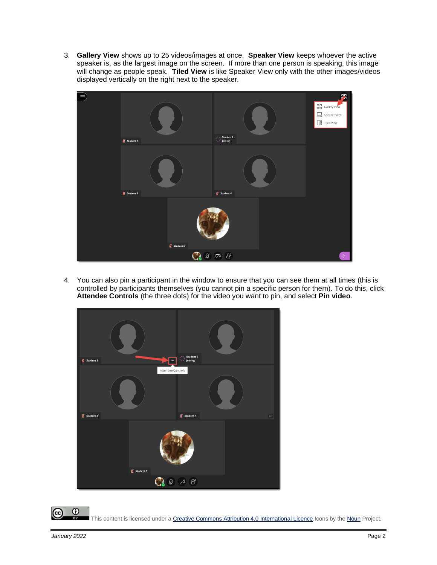3. **Gallery View** shows up to 25 videos/images at once. **Speaker View** keeps whoever the active speaker is, as the largest image on the screen. If more than one person is speaking, this image will change as people speak. **Tiled View** is like Speaker View only with the other images/videos displayed vertically on the right next to the speaker.



4. You can also pin a participant in the window to ensure that you can see them at all times (this is controlled by participants themselves (you cannot pin a specific person for them). To do this, click **Attendee Controls** (the three dots) for the video you want to pin, and select **Pin video**.



 $^\copyright$ This content is licensed under [a Creative Commons Attribution 4.0 International Licence.I](https://creativecommons.org/licenses/by/4.0/)cons by th[e Noun](https://creativecommons.org/website-icons/) Project.

(cc)